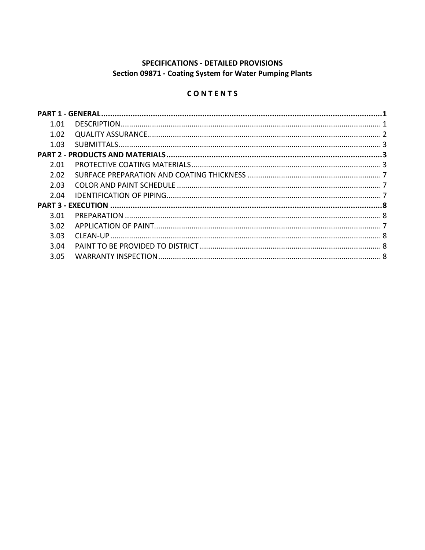# SPECIFICATIONS - DETAILED PROVISIONS Section 09871 - Coating System for Water Pumping Plants

# CONTENTS

| 1.01 |  |
|------|--|
| 1.02 |  |
| 1.03 |  |
|      |  |
| 2.01 |  |
| 2.02 |  |
| 2.03 |  |
| 2.04 |  |
|      |  |
| 3.01 |  |
| 3.02 |  |
| 3.03 |  |
| 3.04 |  |
| 3.05 |  |
|      |  |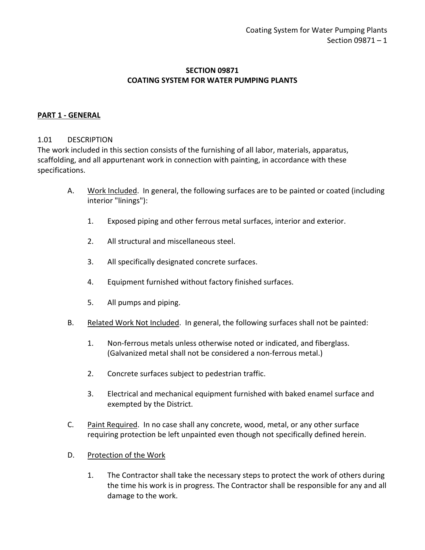### **SECTION 09871 COATING SYSTEM FOR WATER PUMPING PLANTS**

#### <span id="page-2-0"></span>**PART 1 - GENERAL**

#### <span id="page-2-1"></span>1.01 DESCRIPTION

The work included in this section consists of the furnishing of all labor, materials, apparatus, scaffolding, and all appurtenant work in connection with painting, in accordance with these specifications.

- A. Work Included. In general, the following surfaces are to be painted or coated (including interior "linings"):
	- 1. Exposed piping and other ferrous metal surfaces, interior and exterior.
	- 2. All structural and miscellaneous steel.
	- 3. All specifically designated concrete surfaces.
	- 4. Equipment furnished without factory finished surfaces.
	- 5. All pumps and piping.
- B. Related Work Not Included. In general, the following surfaces shall not be painted:
	- 1. Non-ferrous metals unless otherwise noted or indicated, and fiberglass. (Galvanized metal shall not be considered a non-ferrous metal.)
	- 2. Concrete surfaces subject to pedestrian traffic.
	- 3. Electrical and mechanical equipment furnished with baked enamel surface and exempted by the District.
- C. Paint Required. In no case shall any concrete, wood, metal, or any other surface requiring protection be left unpainted even though not specifically defined herein.
- D. Protection of the Work
	- 1. The Contractor shall take the necessary steps to protect the work of others during the time his work is in progress. The Contractor shall be responsible for any and all damage to the work.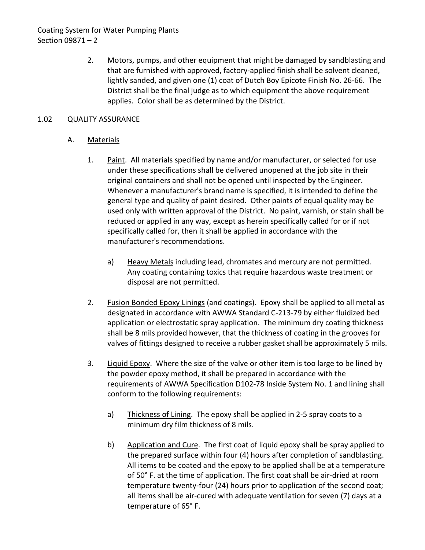# Coating System for Water Pumping Plants Section 09871 – 2

2. Motors, pumps, and other equipment that might be damaged by sandblasting and that are furnished with approved, factory-applied finish shall be solvent cleaned, lightly sanded, and given one (1) coat of Dutch Boy Epicote Finish No. 26-66. The District shall be the final judge as to which equipment the above requirement applies. Color shall be as determined by the District.

### <span id="page-3-0"></span>1.02 QUALITY ASSURANCE

# A. Materials

- 1. Paint. All materials specified by name and/or manufacturer, or selected for use under these specifications shall be delivered unopened at the job site in their original containers and shall not be opened until inspected by the Engineer. Whenever a manufacturer's brand name is specified, it is intended to define the general type and quality of paint desired. Other paints of equal quality may be used only with written approval of the District. No paint, varnish, or stain shall be reduced or applied in any way, except as herein specifically called for or if not specifically called for, then it shall be applied in accordance with the manufacturer's recommendations.
	- a) Heavy Metals including lead, chromates and mercury are not permitted. Any coating containing toxics that require hazardous waste treatment or disposal are not permitted.
- 2. Fusion Bonded Epoxy Linings (and coatings). Epoxy shall be applied to all metal as designated in accordance with AWWA Standard C-213-79 by either fluidized bed application or electrostatic spray application. The minimum dry coating thickness shall be 8 mils provided however, that the thickness of coating in the grooves for valves of fittings designed to receive a rubber gasket shall be approximately 5 mils.
- 3. Liquid Epoxy. Where the size of the valve or other item is too large to be lined by the powder epoxy method, it shall be prepared in accordance with the requirements of AWWA Specification D102-78 Inside System No. 1 and lining shall conform to the following requirements:
	- a) Thickness of Lining. The epoxy shall be applied in 2-5 spray coats to a minimum dry film thickness of 8 mils.
	- b) Application and Cure. The first coat of liquid epoxy shall be spray applied to the prepared surface within four (4) hours after completion of sandblasting. All items to be coated and the epoxy to be applied shall be at a temperature of 50° F. at the time of application. The first coat shall be air-dried at room temperature twenty-four (24) hours prior to application of the second coat; all items shall be air-cured with adequate ventilation for seven (7) days at a temperature of 65° F.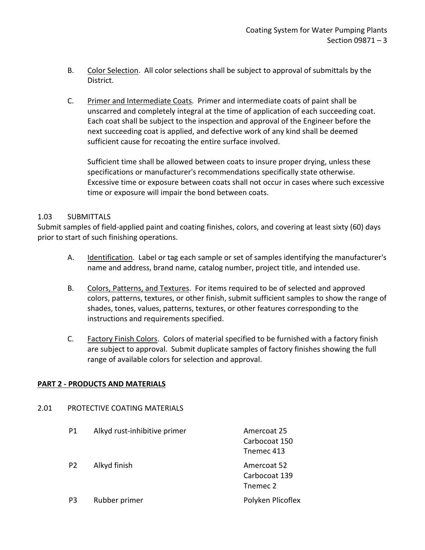- B. Color Selection. All color selections shall be subject to approval of submittals by the District.
- C. Primer and Intermediate Coats. Primer and intermediate coats of paint shall be unscarred and completely integral at the time of application of each succeeding coat. Each coat shall be subject to the inspection and approval of the Engineer before the next succeeding coat is applied, and defective work of any kind shall be deemed sufficient cause for recoating the entire surface involved.

Sufficient time shall be allowed between coats to insure proper drying, unless these specifications or manufacturer's recommendations specifically state otherwise. Excessive time or exposure between coats shall not occur in cases where such excessive time or exposure will impair the bond between coats.

### <span id="page-4-0"></span>1.03 SUBMITTALS

Submit samples of field-applied paint and coating finishes, colors, and covering at least sixty (60) days prior to start of such finishing operations.

- A. Identification. Label or tag each sample or set of samples identifying the manufacturer's name and address, brand name, catalog number, project title, and intended use.
- B. Colors, Patterns, and Textures. For items required to be of selected and approved colors, patterns, textures, or other finish, submit sufficient samples to show the range of shades, tones, values, patterns, textures, or other features corresponding to the instructions and requirements specified.
- C. Factory Finish Colors. Colors of material specified to be furnished with a factory finish are subject to approval. Submit duplicate samples of factory finishes showing the full range of available colors for selection and approval.

### <span id="page-4-1"></span>**PART 2 - PRODUCTS AND MATERIALS**

<span id="page-4-2"></span>

| 2.01 | PROTECTIVE COATING MATERIALS |                              |                                            |  |  |  |
|------|------------------------------|------------------------------|--------------------------------------------|--|--|--|
|      | P1                           | Alkyd rust-inhibitive primer | Amercoat 25<br>Carbocoat 150<br>Tnemec 413 |  |  |  |
|      | P <sub>2</sub>               | Alkyd finish                 | Amercoat 52<br>Carbocoat 139<br>Tnemec 2   |  |  |  |
|      | P <sub>3</sub>               | Rubber primer                | Polyken Plicoflex                          |  |  |  |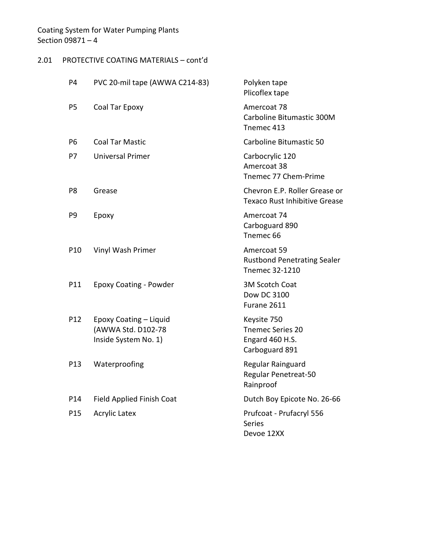# 2.01 PROTECTIVE COATING MATERIALS – cont'd

| P4              | PVC 20-mil tape (AWWA C214-83)                                       | Polyken tape<br>Plicoflex tape                                        |
|-----------------|----------------------------------------------------------------------|-----------------------------------------------------------------------|
| P5              | Coal Tar Epoxy                                                       | Amercoat 78<br>Carboline Bitumastic 300M<br>Tnemec 413                |
| P <sub>6</sub>  | <b>Coal Tar Mastic</b>                                               | Carboline Bitumastic 50                                               |
| P7              | <b>Universal Primer</b>                                              | Carbocrylic 120<br>Amercoat 38<br>Tnemec 77 Chem-Prime                |
| P8              | Grease                                                               | Chevron E.P. Roller Grease or<br><b>Texaco Rust Inhibitive Grease</b> |
| P9              | Epoxy                                                                | Amercoat 74<br>Carboguard 890<br>Tnemec <sub>66</sub>                 |
| P10             | Vinyl Wash Primer                                                    | Amercoat 59<br><b>Rustbond Penetrating Sealer</b><br>Tnemec 32-1210   |
| P11             | <b>Epoxy Coating - Powder</b>                                        | 3M Scotch Coat<br>Dow DC 3100<br>Furane 2611                          |
| P12             | Epoxy Coating - Liquid<br>(AWWA Std. D102-78<br>Inside System No. 1) | Keysite 750<br>Tnemec Series 20<br>Engard 460 H.S.<br>Carboguard 891  |
| P13             | Waterproofing                                                        | Regular Rainguard<br>Regular Penetreat-50<br>Rainproof                |
| P14             | Field Applied Finish Coat                                            | Dutch Boy Epicote No. 26-66                                           |
| P <sub>15</sub> | <b>Acrylic Latex</b>                                                 | Prufcoat - Prufacryl 556<br><b>Series</b><br>Devoe 12XX               |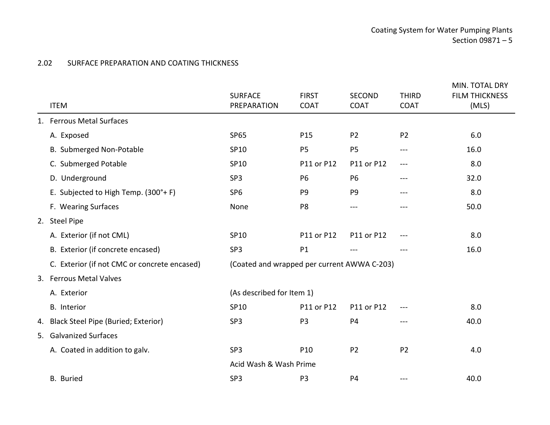## 2.02 SURFACE PREPARATION AND COATING THICKNESS

<span id="page-6-0"></span>

|  | <b>ITEM</b>                                  | <b>SURFACE</b><br>PREPARATION               | <b>FIRST</b><br><b>COAT</b> | <b>SECOND</b><br><b>COAT</b> | <b>THIRD</b><br><b>COAT</b>                                                                    | MIN. TOTAL DRY<br><b>FILM THICKNESS</b><br>(MLS) |  |
|--|----------------------------------------------|---------------------------------------------|-----------------------------|------------------------------|------------------------------------------------------------------------------------------------|--------------------------------------------------|--|
|  | 1. Ferrous Metal Surfaces                    |                                             |                             |                              |                                                                                                |                                                  |  |
|  | A. Exposed                                   | <b>SP65</b>                                 | P <sub>15</sub>             | P <sub>2</sub>               | P <sub>2</sub>                                                                                 | 6.0                                              |  |
|  | B. Submerged Non-Potable                     | SP10                                        | P <sub>5</sub>              | P <sub>5</sub>               | $\frac{1}{2}$                                                                                  | 16.0                                             |  |
|  | C. Submerged Potable                         | SP10                                        | P11 or P12                  | P11 or P12                   | $\frac{1}{2} \left( \frac{1}{2} \right) \left( \frac{1}{2} \right) \left( \frac{1}{2} \right)$ | 8.0                                              |  |
|  | D. Underground                               | SP <sub>3</sub>                             | P <sub>6</sub>              | P <sub>6</sub>               | ---                                                                                            | 32.0                                             |  |
|  | E. Subjected to High Temp. (300°+ F)         | SP <sub>6</sub>                             | P <sub>9</sub>              | P <sub>9</sub>               | ---                                                                                            | 8.0                                              |  |
|  | F. Wearing Surfaces                          | None                                        | P <sub>8</sub>              | ---                          | ---                                                                                            | 50.0                                             |  |
|  | 2. Steel Pipe                                |                                             |                             |                              |                                                                                                |                                                  |  |
|  | A. Exterior (if not CML)                     | SP10                                        | P11 or P12                  | P11 or P12                   | ---                                                                                            | 8.0                                              |  |
|  | B. Exterior (if concrete encased)            | SP <sub>3</sub>                             | P1                          |                              |                                                                                                | 16.0                                             |  |
|  | C. Exterior (if not CMC or concrete encased) | (Coated and wrapped per current AWWA C-203) |                             |                              |                                                                                                |                                                  |  |
|  | 3. Ferrous Metal Valves                      |                                             |                             |                              |                                                                                                |                                                  |  |
|  | A. Exterior                                  | (As described for Item 1)                   |                             |                              |                                                                                                |                                                  |  |
|  | <b>B.</b> Interior                           | SP10                                        | P11 or P12                  | P11 or P12                   |                                                                                                | 8.0                                              |  |
|  | 4. Black Steel Pipe (Buried; Exterior)       | SP3                                         | P <sub>3</sub>              | <b>P4</b>                    | ---                                                                                            | 40.0                                             |  |
|  | 5. Galvanized Surfaces                       |                                             |                             |                              |                                                                                                |                                                  |  |
|  | A. Coated in addition to galv.               | SP3                                         | P10                         | P <sub>2</sub>               | P <sub>2</sub>                                                                                 | 4.0                                              |  |
|  |                                              | Acid Wash & Wash Prime                      |                             |                              |                                                                                                |                                                  |  |
|  | <b>B.</b> Buried                             | SP <sub>3</sub>                             | P <sub>3</sub>              | <b>P4</b>                    | ---                                                                                            | 40.0                                             |  |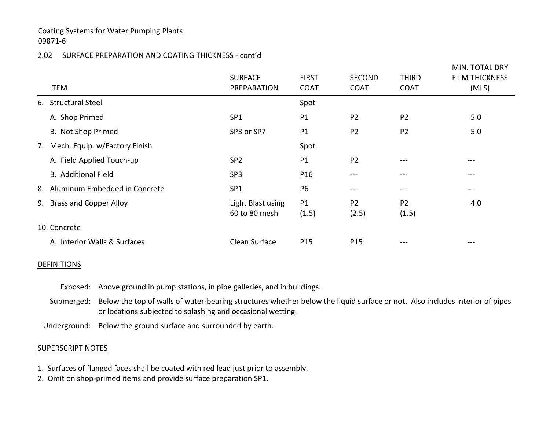### Coating Systems for Water Pumping Plants 09871-6

### 2.02 SURFACE PREPARATION AND COATING THICKNESS - cont'd

| <b>ITEM</b>                      | <b>SURFACE</b><br>PREPARATION      | <b>FIRST</b><br><b>COAT</b> | <b>SECOND</b><br><b>COAT</b> | <b>THIRD</b><br><b>COAT</b> | MIN. TOTAL DRY<br><b>FILM THICKNESS</b><br>(MLS)                                                                                                                                                                                                                                                                                                                                                                                                                           |
|----------------------------------|------------------------------------|-----------------------------|------------------------------|-----------------------------|----------------------------------------------------------------------------------------------------------------------------------------------------------------------------------------------------------------------------------------------------------------------------------------------------------------------------------------------------------------------------------------------------------------------------------------------------------------------------|
|                                  |                                    |                             |                              |                             |                                                                                                                                                                                                                                                                                                                                                                                                                                                                            |
| 6. Structural Steel              |                                    | Spot                        |                              |                             |                                                                                                                                                                                                                                                                                                                                                                                                                                                                            |
| A. Shop Primed                   | SP <sub>1</sub>                    | P1                          | P <sub>2</sub>               | P <sub>2</sub>              | 5.0                                                                                                                                                                                                                                                                                                                                                                                                                                                                        |
| B. Not Shop Primed               | SP3 or SP7                         | P1                          | P <sub>2</sub>               | P <sub>2</sub>              | 5.0                                                                                                                                                                                                                                                                                                                                                                                                                                                                        |
| 7. Mech. Equip. w/Factory Finish |                                    | Spot                        |                              |                             |                                                                                                                                                                                                                                                                                                                                                                                                                                                                            |
| A. Field Applied Touch-up        | SP <sub>2</sub>                    | P1                          | P <sub>2</sub>               | $- - -$                     | $\frac{1}{2} \left( \frac{1}{2} \right) \left( \frac{1}{2} \right) \left( \frac{1}{2} \right) \left( \frac{1}{2} \right) \left( \frac{1}{2} \right) \left( \frac{1}{2} \right) \left( \frac{1}{2} \right) \left( \frac{1}{2} \right) \left( \frac{1}{2} \right) \left( \frac{1}{2} \right) \left( \frac{1}{2} \right) \left( \frac{1}{2} \right) \left( \frac{1}{2} \right) \left( \frac{1}{2} \right) \left( \frac{1}{2} \right) \left( \frac{1}{2} \right) \left( \frac$ |
| <b>B.</b> Additional Field       | SP <sub>3</sub>                    | P <sub>16</sub>             | ---                          | $---$                       | $\qquad \qquad -$                                                                                                                                                                                                                                                                                                                                                                                                                                                          |
| 8. Aluminum Embedded in Concrete | SP <sub>1</sub>                    | P <sub>6</sub>              | ---                          | $--$                        | $\qquad \qquad -$                                                                                                                                                                                                                                                                                                                                                                                                                                                          |
| 9. Brass and Copper Alloy        | Light Blast using<br>60 to 80 mesh | P1<br>(1.5)                 | P <sub>2</sub><br>(2.5)      | P <sub>2</sub><br>(1.5)     | 4.0                                                                                                                                                                                                                                                                                                                                                                                                                                                                        |
| 10. Concrete                     |                                    |                             |                              |                             |                                                                                                                                                                                                                                                                                                                                                                                                                                                                            |
| A. Interior Walls & Surfaces     | Clean Surface                      | P <sub>15</sub>             | P <sub>15</sub>              | $- - -$                     |                                                                                                                                                                                                                                                                                                                                                                                                                                                                            |

#### **DEFINITIONS**

- Exposed: Above ground in pump stations, in pipe galleries, and in buildings.
- Submerged: Below the top of walls of water-bearing structures whether below the liquid surface or not. Also includes interior of pipes or locations subjected to splashing and occasional wetting.

Underground: Below the ground surface and surrounded by earth.

#### **SUPERSCRIPT NOTES**

- 1. Surfaces of flanged faces shall be coated with red lead just prior to assembly.
- 2. Omit on shop-primed items and provide surface preparation SP1.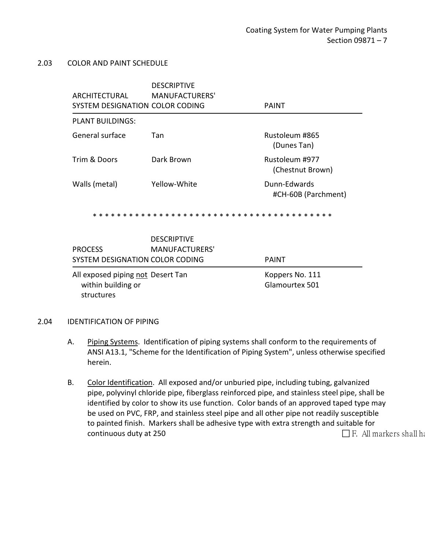#### <span id="page-8-0"></span>2.03 COLOR AND PAINT SCHEDULE

| ARCHITECTURAL<br>SYSTEM DESIGNATION COLOR CODING                      | <b>DESCRIPTIVE</b><br><b>MANUFACTURERS'</b> | <b>PAINT</b>                        |
|-----------------------------------------------------------------------|---------------------------------------------|-------------------------------------|
| <b>PLANT BUILDINGS:</b>                                               |                                             |                                     |
| General surface                                                       | Tan                                         | Rustoleum #865<br>(Dunes Tan)       |
| Trim & Doors                                                          | Dark Brown                                  | Rustoleum #977<br>(Chestnut Brown)  |
| Walls (metal)                                                         | Yellow-White                                | Dunn-Edwards<br>#CH-60B (Parchment) |
|                                                                       |                                             |                                     |
| <b>PROCESS</b><br>SYSTEM DESIGNATION COLOR CODING                     | <b>DESCRIPTIVE</b><br><b>MANUFACTURERS'</b> | <b>PAINT</b>                        |
| All exposed piping not Desert Tan<br>within building or<br>structures |                                             | Koppers No. 111<br>Glamourtex 501   |

#### <span id="page-8-1"></span>2.04 IDENTIFICATION OF PIPING

- A. Piping Systems. Identification of piping systems shall conform to the requirements of ANSI A13.1, "Scheme for the Identification of Piping System", unless otherwise specified herein.
- B. Color Identification. All exposed and/or unburied pipe, including tubing, galvanized pipe, polyvinyl chloride pipe, fiberglass reinforced pipe, and stainless steel pipe, shall be identified by color to show its use function. Color bands of an approved taped type may be used on PVC, FRP, and stainless steel pipe and all other pipe not readily susceptible to painted finish. Markers shall be adhesive type with extra strength and suitable for continuous duty at 250  $\Box$  F. All markers shall have not seen that  $\Box$  F. All markers shall have not seen that the set of the set of the set of the set of the set of the set of the set of the set of the set of the set o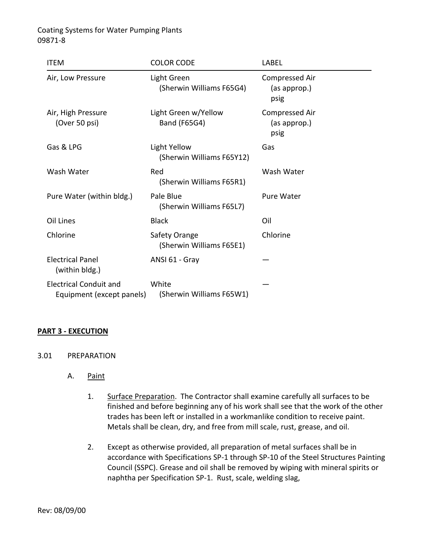Coating Systems for Water Pumping Plants 09871-8

| <b>ITEM</b>                                                | <b>COLOR CODE</b>                         | LABEL                                  |
|------------------------------------------------------------|-------------------------------------------|----------------------------------------|
| Air, Low Pressure                                          | Light Green<br>(Sherwin Williams F65G4)   | Compressed Air<br>(as approp.)<br>psig |
| Air, High Pressure<br>(Over 50 psi)                        | Light Green w/Yellow<br>Band (F65G4)      | Compressed Air<br>(as approp.)<br>psig |
| Gas & LPG                                                  | Light Yellow<br>(Sherwin Williams F65Y12) | Gas                                    |
| Wash Water                                                 | Red<br>(Sherwin Williams F65R1)           | Wash Water                             |
| Pure Water (within bldg.)                                  | Pale Blue<br>(Sherwin Williams F65L7)     | <b>Pure Water</b>                      |
| Oil Lines                                                  | <b>Black</b>                              | Oil                                    |
| Chlorine                                                   | Safety Orange<br>(Sherwin Williams F65E1) | Chlorine                               |
| <b>Electrical Panel</b><br>(within bldg.)                  | ANSI 61 - Gray                            |                                        |
| <b>Electrical Conduit and</b><br>Equipment (except panels) | White<br>(Sherwin Williams F65W1)         |                                        |

#### <span id="page-9-0"></span>**PART 3 - EXECUTION**

- <span id="page-9-1"></span>3.01 PREPARATION
	- A. Paint
		- 1. Surface Preparation. The Contractor shall examine carefully all surfaces to be finished and before beginning any of his work shall see that the work of the other trades has been left or installed in a workmanlike condition to receive paint. Metals shall be clean, dry, and free from mill scale, rust, grease, and oil.
		- 2. Except as otherwise provided, all preparation of metal surfaces shall be in accordance with Specifications SP-1 through SP-10 of the Steel Structures Painting Council (SSPC). Grease and oil shall be removed by wiping with mineral spirits or naphtha per Specification SP-1. Rust, scale, welding slag,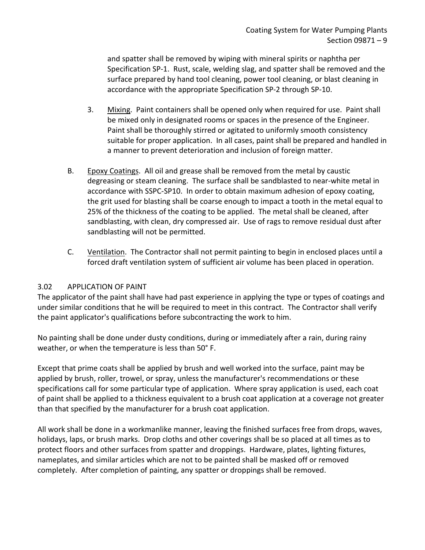and spatter shall be removed by wiping with mineral spirits or naphtha per Specification SP-1. Rust, scale, welding slag, and spatter shall be removed and the surface prepared by hand tool cleaning, power tool cleaning, or blast cleaning in accordance with the appropriate Specification SP-2 through SP-10.

- 3. Mixing. Paint containers shall be opened only when required for use. Paint shall be mixed only in designated rooms or spaces in the presence of the Engineer. Paint shall be thoroughly stirred or agitated to uniformly smooth consistency suitable for proper application. In all cases, paint shall be prepared and handled in a manner to prevent deterioration and inclusion of foreign matter.
- B. Epoxy Coatings. All oil and grease shall be removed from the metal by caustic degreasing or steam cleaning. The surface shall be sandblasted to near-white metal in accordance with SSPC-SP10. In order to obtain maximum adhesion of epoxy coating, the grit used for blasting shall be coarse enough to impact a tooth in the metal equal to 25% of the thickness of the coating to be applied. The metal shall be cleaned, after sandblasting, with clean, dry compressed air. Use of rags to remove residual dust after sandblasting will not be permitted.
- C. Ventilation. The Contractor shall not permit painting to begin in enclosed places until a forced draft ventilation system of sufficient air volume has been placed in operation.

### <span id="page-10-0"></span>3.02 APPLICATION OF PAINT

The applicator of the paint shall have had past experience in applying the type or types of coatings and under similar conditions that he will be required to meet in this contract. The Contractor shall verify the paint applicator's qualifications before subcontracting the work to him.

No painting shall be done under dusty conditions, during or immediately after a rain, during rainy weather, or when the temperature is less than 50° F.

Except that prime coats shall be applied by brush and well worked into the surface, paint may be applied by brush, roller, trowel, or spray, unless the manufacturer's recommendations or these specifications call for some particular type of application. Where spray application is used, each coat of paint shall be applied to a thickness equivalent to a brush coat application at a coverage not greater than that specified by the manufacturer for a brush coat application.

All work shall be done in a workmanlike manner, leaving the finished surfaces free from drops, waves, holidays, laps, or brush marks. Drop cloths and other coverings shall be so placed at all times as to protect floors and other surfaces from spatter and droppings. Hardware, plates, lighting fixtures, nameplates, and similar articles which are not to be painted shall be masked off or removed completely. After completion of painting, any spatter or droppings shall be removed.